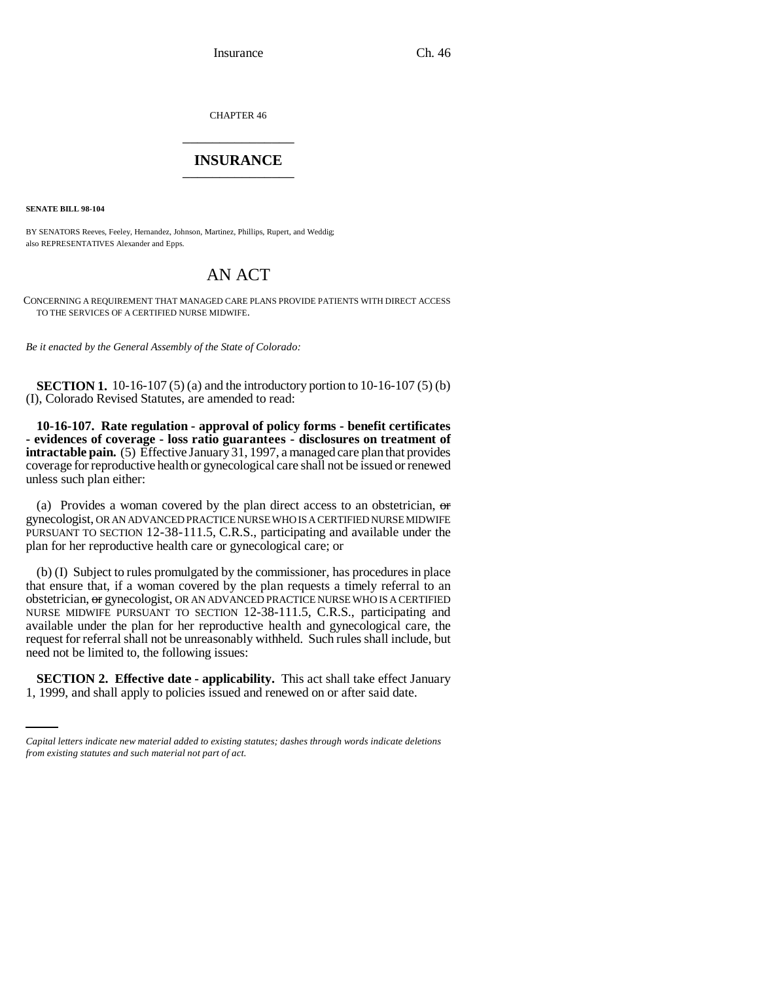CHAPTER 46 \_\_\_\_\_\_\_\_\_\_\_\_\_\_\_

## **INSURANCE** \_\_\_\_\_\_\_\_\_\_\_\_\_\_\_

**SENATE BILL 98-104**

BY SENATORS Reeves, Feeley, Hernandez, Johnson, Martinez, Phillips, Rupert, and Weddig; also REPRESENTATIVES Alexander and Epps.

## AN ACT

CONCERNING A REQUIREMENT THAT MANAGED CARE PLANS PROVIDE PATIENTS WITH DIRECT ACCESS TO THE SERVICES OF A CERTIFIED NURSE MIDWIFE.

*Be it enacted by the General Assembly of the State of Colorado:*

**SECTION 1.** 10-16-107 (5) (a) and the introductory portion to 10-16-107 (5) (b) (I), Colorado Revised Statutes, are amended to read:

**10-16-107. Rate regulation - approval of policy forms - benefit certificates - evidences of coverage - loss ratio guarantees - disclosures on treatment of intractable pain.** (5) Effective January 31, 1997, a managed care plan that provides coverage for reproductive health or gynecological care shall not be issued or renewed unless such plan either:

(a) Provides a woman covered by the plan direct access to an obstetrician,  $\sigma$ gynecologist, OR AN ADVANCED PRACTICE NURSE WHO IS A CERTIFIED NURSE MIDWIFE PURSUANT TO SECTION 12-38-111.5, C.R.S., participating and available under the plan for her reproductive health care or gynecological care; or

need not be limited to, the following issues: (b) (I) Subject to rules promulgated by the commissioner, has procedures in place that ensure that, if a woman covered by the plan requests a timely referral to an obstetrician, or gynecologist, OR AN ADVANCED PRACTICE NURSE WHO IS A CERTIFIED NURSE MIDWIFE PURSUANT TO SECTION 12-38-111.5, C.R.S., participating and available under the plan for her reproductive health and gynecological care, the request for referral shall not be unreasonably withheld. Such rules shall include, but

**SECTION 2. Effective date - applicability.** This act shall take effect January 1, 1999, and shall apply to policies issued and renewed on or after said date.

*Capital letters indicate new material added to existing statutes; dashes through words indicate deletions from existing statutes and such material not part of act.*